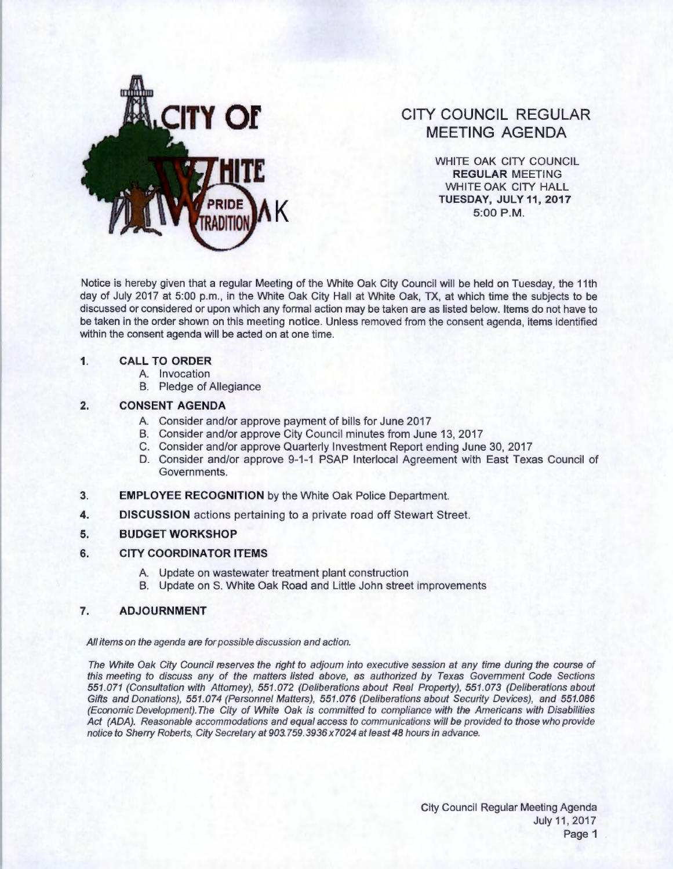

# **CITY COUNCIL REGULAR MEETING AGENDA**

WHITE OAK CITY COUNCIL **REGULAR** MEETING WHITE OAK CITY HALL **K TUESDAY, JULY11,2017**  5:00P.M.

Notice is hereby given that a regular Meeting of the White Oak City Council will be held on Tuesday, the 11th day of July 2017 at 5:00 p.m., in the White Oak City Hall at White Oak, TX, at which time the subjects to be discussed or considered or upon which any formal action may be taken are as listed below. Items do not have to be taken in the order shown on this meeting notice. Unless removed from the consent agenda, items identified within the consent agenda will be acted on at one time.

#### **1. CALL TO ORDER**

- A. Invocation
- B. Pledge of Allegiance

#### **2. CONSENT AGENDA**

- A. Consider and/or approve payment of bills for June 2017
- B. Consider and/or approve City Council minutes from June 13, 2017
- C. Consider and/or approve Quarterly Investment Report ending June 30, 2017
- D. Consider and/or approve 9-1-1 PSAP lnterlocal Agreement with East Texas Council of Governments.
- **3. EMPLOYEE RECOGNITION** by the White Oak Police Department.
- **4. DISCUSSION** actions pertaining to a private road off Stewart Street.

## **5. BUDGET WORKSHOP**

## **6. CITY COORDINATOR ITEMS**

- A. Update on wastewater treatment plant construction
- B. Update on S. White Oak Road and Little John street improvements

## **7. ADJOURNMENT**

#### All items on the agenda are for possible discussion and action.

The White Oak City Council reserves the right to adjourn into executive session at any time during the course of this meeting to discuss any of the matters listed above, as authorized by Texas Government Code Sections 551 .071 (Consultation with Attorney), 551.072 (Deliberations about Real Property), 551 .073 (Deliberations about Gifts and Donations), 551.074 (Personnel Matters), 551.076 (Deliberations about Security Devices), and 551.086 (Economic Development).The City of White Oak is committed to compliance with the Americans with Disabilities Act (ADA). Reasonable accommodations and equal access to communications will be provided to those who provide notice to Sherry Roberts, City Secretary at 903.759.3936 x7024 at least 48 hours in advance.